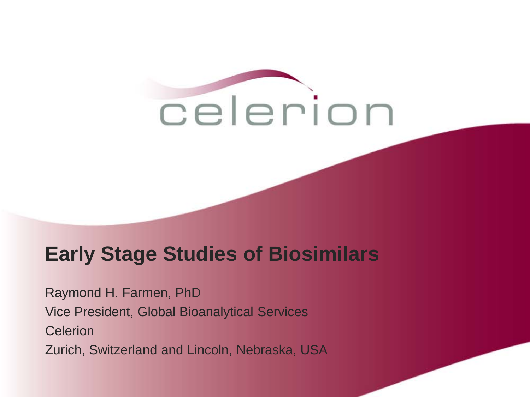

## **Early Stage Studies of Biosimilars**

Raymond H. Farmen, PhD Vice President, Global Bioanalytical Services **Celerion** Zurich, Switzerland and Lincoln, Nebraska, USA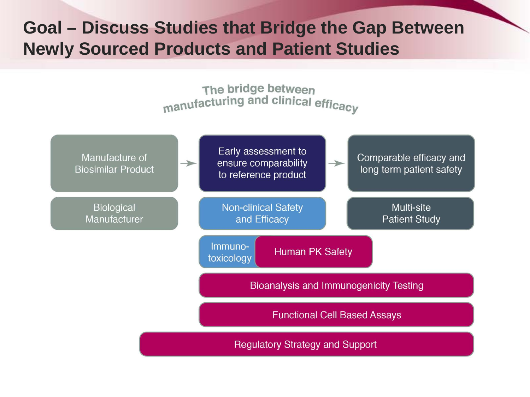### **Goal – Discuss Studies that Bridge the Gap Between Newly Sourced Products and Patient Studies**

The bridge between manufacturing and clinical efficacy

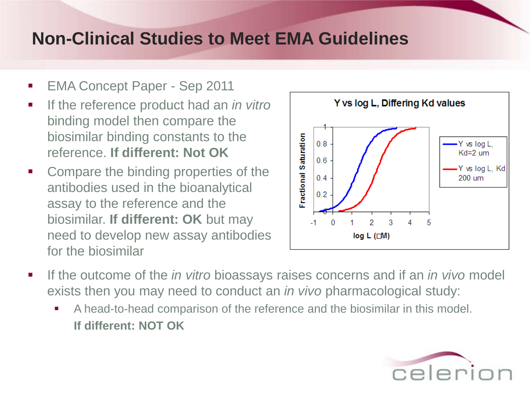- EMA Concept Paper Sep 2011
- **If the reference product had an** *in vitro* binding model then compare the biosimilar binding constants to the reference. **If different: Not OK**
- Compare the binding properties of the antibodies used in the bioanalytical assay to the reference and the biosimilar. **If different: OK** but may need to develop new assay antibodies for the biosimilar



- If the outcome of the *in vitro* bioassays raises concerns and if an *in vivo* model exists then you may need to conduct an *in vivo* pharmacological study:
	- A head-to-head comparison of the reference and the biosimilar in this model. **If different: NOT OK**

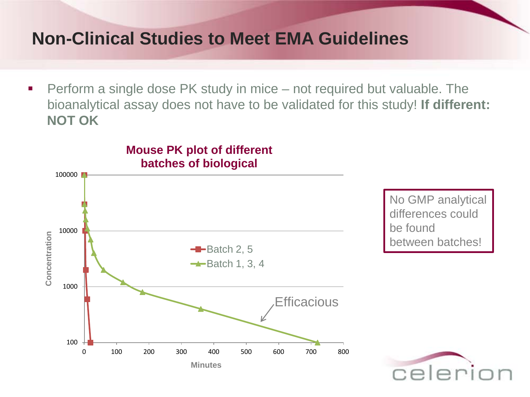■ Perform a single dose PK study in mice – not required but valuable. The bioanalytical assay does not have to be validated for this study! **If different: NOT OK**

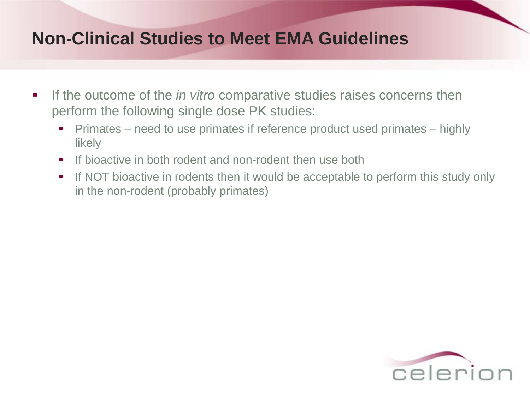- If the outcome of the *in vitro* comparative studies raises concerns then perform the following single dose PK studies:
	- **Primates** need to use primates if reference product used primates highly likely
	- If bioactive in both rodent and non-rodent then use both
	- If NOT bioactive in rodents then it would be acceptable to perform this study only in the non-rodent (probably primates)

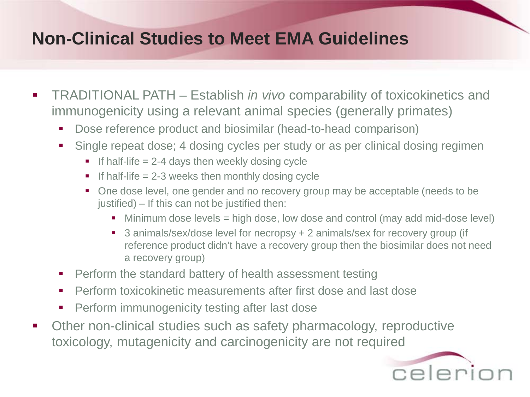- TRADITIONAL PATH Establish *in vivo* comparability of toxicokinetics and immunogenicity using a relevant animal species (generally primates)
	- Dose reference product and biosimilar (head-to-head comparison)
	- Single repeat dose; 4 dosing cycles per study or as per clinical dosing regimen
		- If half-life  $= 2-4$  days then weekly dosing cycle
		- If half-life  $= 2-3$  weeks then monthly dosing cycle
		- One dose level, one gender and no recovery group may be acceptable (needs to be justified) – If this can not be justified then:
			- Minimum dose levels = high dose, low dose and control (may add mid-dose level)
			- 3 animals/sex/dose level for necropsy + 2 animals/sex for recovery group (if reference product didn't have a recovery group then the biosimilar does not need a recovery group)
	- **Perform the standard battery of health assessment testing**
	- **Perform toxicokinetic measurements after first dose and last dose**
	- **Perform immunogenicity testing after last dose**
- Other non-clinical studies such as safety pharmacology, reproductive toxicology, mutagenicity and carcinogenicity are not required

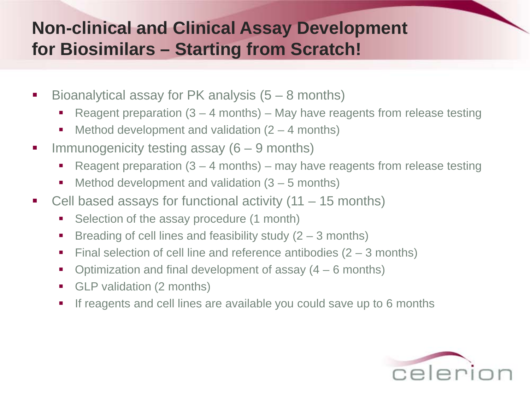## **Non-clinical and Clinical Assay Development for Biosimilars – Starting from Scratch!**

- Bioanalytical assay for PK analysis  $(5 8$  months)
	- Reagent preparation  $(3 4$  months) May have reagents from release testing
	- $\blacksquare$  Method development and validation (2 4 months)
- Immunogenicity testing assay  $(6 9$  months)
	- Reagent preparation  $(3 4$  months) may have reagents from release testing
	- $\blacksquare$  Method development and validation  $(3 5$  months)
- Cell based assays for functional activity  $(11 15$  months)
	- Selection of the assay procedure (1 month)
	- Breading of cell lines and feasibility study  $(2 3$  months)
	- Final selection of cell line and reference antibodies  $(2 3$  months)
	- Optimization and final development of assay  $(4 6$  months)
	- GLP validation (2 months)
	- If reagents and cell lines are available you could save up to 6 months

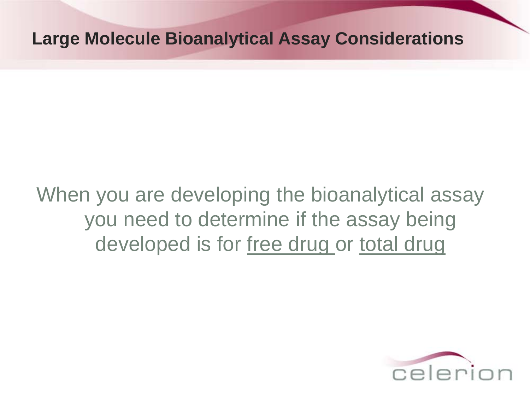#### **Large Molecule Bioanalytical Assay Considerations**

# When you are developing the bioanalytical assay you need to determine if the assay being developed is for free drug or total drug

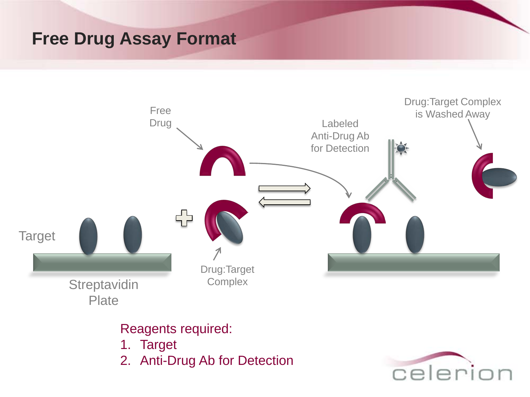#### **Free Drug Assay Format**



#### Reagents required:

- 1. Target
- 2. Anti-Drug Ab for Detection

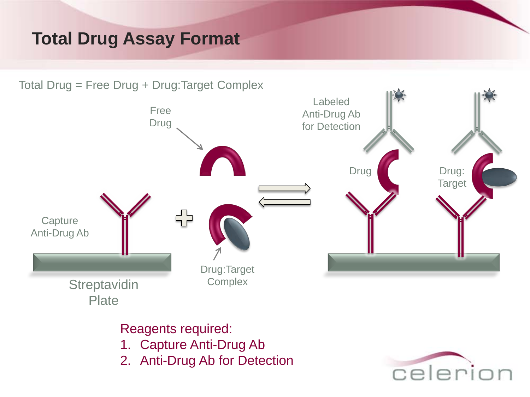## **Total Drug Assay Format**



Reagents required:

- 1. Capture Anti-Drug Ab
- 2. Anti-Drug Ab for Detection

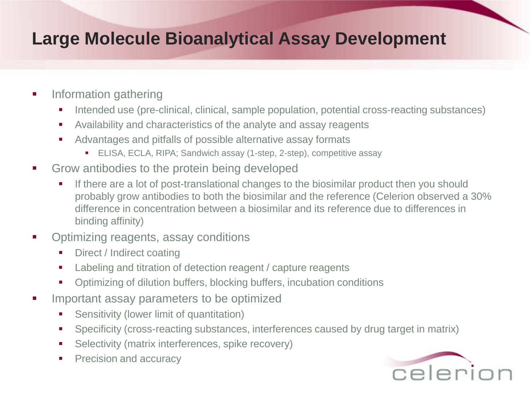### **Large Molecule Bioanalytical Assay Development**

- **Information gathering** 
	- Intended use (pre-clinical, clinical, sample population, potential cross-reacting substances)
	- Availability and characteristics of the analyte and assay reagents
	- Advantages and pitfalls of possible alternative assay formats
		- ELISA, ECLA, RIPA; Sandwich assay (1-step, 2-step), competitive assay
- Grow antibodies to the protein being developed
	- If there are a lot of post-translational changes to the biosimilar product then you should probably grow antibodies to both the biosimilar and the reference (Celerion observed a 30% difference in concentration between a biosimilar and its reference due to differences in binding affinity)
- Optimizing reagents, assay conditions
	- Direct / Indirect coating
	- **EXECTE:** Labeling and titration of detection reagent / capture reagents
	- Optimizing of dilution buffers, blocking buffers, incubation conditions
- Important assay parameters to be optimized
	- **Sensitivity (lower limit of quantitation)**
	- Specificity (cross-reacting substances, interferences caused by drug target in matrix)
	- **Selectivity (matrix interferences, spike recovery)**
	- **Precision and accuracy**

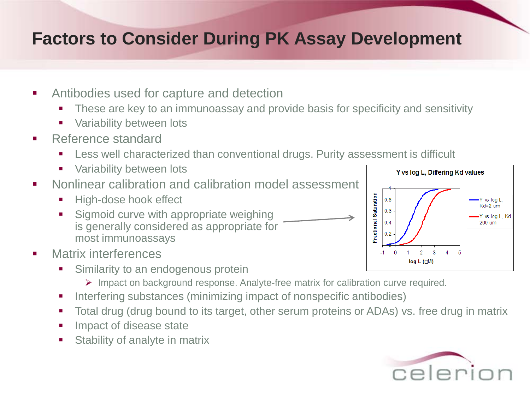#### **Factors to Consider During PK Assay Development**

- **EXECUTE:** Antibodies used for capture and detection
	- These are key to an immunoassay and provide basis for specificity and sensitivity
	- **variability between lots**
- Reference standard
	- Less well characterized than conventional drugs. Purity assessment is difficult
	- **No Variability between lots**
- **Nonlinear calibration and calibration model assessment** 
	- **High-dose hook effect**
	- Sigmoid curve with appropriate weighing is generally considered as appropriate for most immunoassays

Y vs log L, Differing Kd values Saturation  $0.8$ Y vs log L, Kd=2 um  $0.6$ Y vs log L, Kd **Fractional**  $0.4$ 200 um  $0.2$  $-1$  $\overline{0}$  $2 \t3$  $\overline{4}$  $log L$  ( $\Box M$ )

- Matrix interferences
	- Similarity to an endogenous protein
		- Impact on background response. Analyte-free matrix for calibration curve required.
	- Interfering substances (minimizing impact of nonspecific antibodies)
	- Total drug (drug bound to its target, other serum proteins or ADAs) vs. free drug in matrix
	- **Impact of disease state**
	- **Stability of analyte in matrix**

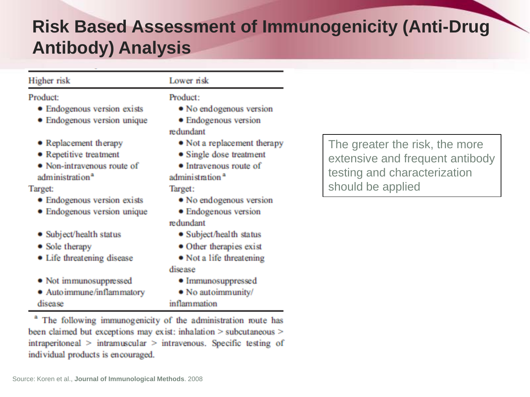### **Risk Based Assessment of Immunogenicity (Anti-Drug Antibody) Analysis**

| Higher risk                                                                                                  | Lower risk                                                                                                      |                               |
|--------------------------------------------------------------------------------------------------------------|-----------------------------------------------------------------------------------------------------------------|-------------------------------|
| Product:<br>• Endogenous version exists<br>• Endogenous version unique                                       | Product:<br>• No endogenous version<br>• Endogenous version<br>redundant                                        |                               |
| • Replacement therapy<br>• Repetitive treatment<br>• Non-intravenous route of<br>administration <sup>a</sup> | • Not a replacement therapy<br>• Single dose treatment<br>• Intravenous route of<br>administration <sup>a</sup> | The gre<br>extensi<br>testing |
| Target:                                                                                                      | Target:                                                                                                         | should                        |
| • Endogenous version exists<br>• Endogenous version unique                                                   | • No endogenous version<br>• Endogenous version<br>redundant                                                    |                               |
| • Subject/health status                                                                                      | • Subject/health status                                                                                         |                               |
| • Sole therapy<br>• Life threatening disease                                                                 | • Other therapies exist<br>• Not a life threatening<br>disease                                                  |                               |
| · Not immunosuppressed<br>• Autoimmune/inflammatory<br>disease                                               | • Immunosuppressed<br>• No autoimmunity/<br>inflammation                                                        |                               |

The following immunogenicity of the administration route has been claimed but exceptions may exist: inhalation > subcutaneous >  $intraperitoneal$  >  $intramuscular$  >  $intravenous$ . Specific testing of individual products is encouraged.

eater the risk, the more ive and frequent antibody and characterization be applied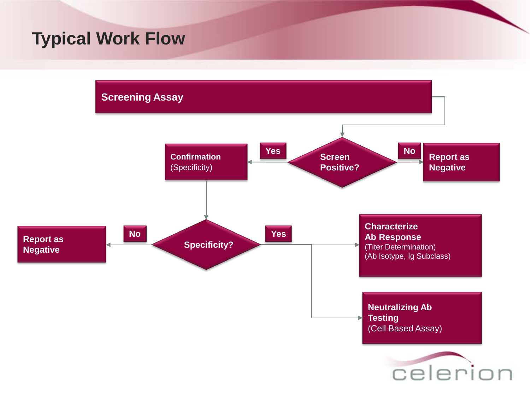#### **Typical Work Flow**

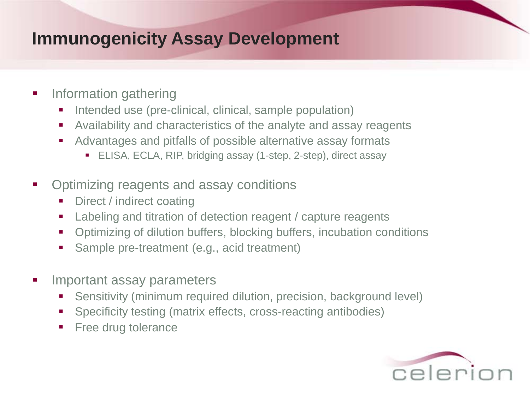#### **Immunogenicity Assay Development**

- **Information gathering** 
	- Intended use (pre-clinical, clinical, sample population)
	- Availability and characteristics of the analyte and assay reagents
	- Advantages and pitfalls of possible alternative assay formats
		- ELISA, ECLA, RIP, bridging assay (1-step, 2-step), direct assay
- Optimizing reagents and assay conditions
	- Direct / indirect coating
	- Labeling and titration of detection reagent / capture reagents
	- Optimizing of dilution buffers, blocking buffers, incubation conditions
	- Sample pre-treatment (e.g., acid treatment)
- Important assay parameters
	- Sensitivity (minimum required dilution, precision, background level)
	- Specificity testing (matrix effects, cross-reacting antibodies)
	- **Free drug tolerance**

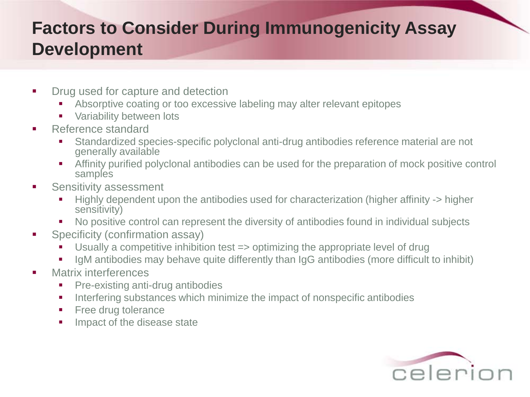## **Factors to Consider During Immunogenicity Assay Development**

- **•** Drug used for capture and detection
	- Absorptive coating or too excessive labeling may alter relevant epitopes
	- **Variability between lots**
- **Reference standard** 
	- Standardized species-specific polyclonal anti-drug antibodies reference material are not generally available
	- Affinity purified polyclonal antibodies can be used for the preparation of mock positive control samples
- **Sensitivity assessment** 
	- Highly dependent upon the antibodies used for characterization (higher affinity -> higher sensitivity)
	- No positive control can represent the diversity of antibodies found in individual subjects
- **Specificity (confirmation assay)** 
	- Usually a competitive inhibition test => optimizing the appropriate level of drug
	- IgM antibodies may behave quite differently than IgG antibodies (more difficult to inhibit)
- **Natrix interferences** 
	- **Pre-existing anti-drug antibodies**
	- Interfering substances which minimize the impact of nonspecific antibodies
	- **Free drug tolerance**
	- **IMPACT OF the disease state**

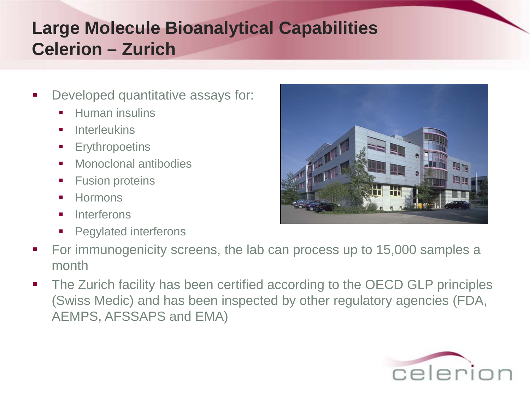## **Large Molecule Bioanalytical Capabilities Celerion – Zurich**

- Developed quantitative assays for:
	- **Human insulins**
	- **Interleukins**
	- **Erythropoetins**
	- **Monoclonal antibodies**
	- **Fusion proteins**
	- **Hormons**
	- **Interferons**
	- **Pegylated interferons**
- For immunogenicity screens, the lab can process up to 15,000 samples a month
- The Zurich facility has been certified according to the OECD GLP principles (Swiss Medic) and has been inspected by other regulatory agencies (FDA, AEMPS, AFSSAPS and EMA)



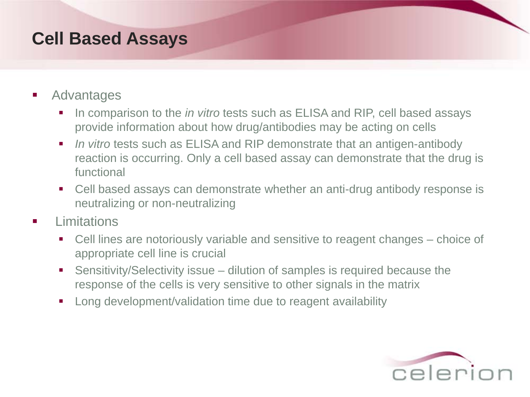#### **Cell Based Assays**

- Advantages
	- In comparison to the *in vitro* tests such as ELISA and RIP, cell based assays provide information about how drug/antibodies may be acting on cells
	- **I** *In vitro* tests such as ELISA and RIP demonstrate that an antigen-antibody reaction is occurring. Only a cell based assay can demonstrate that the drug is functional
	- Cell based assays can demonstrate whether an anti-drug antibody response is neutralizing or non-neutralizing
- Limitations
	- Cell lines are notoriously variable and sensitive to reagent changes choice of appropriate cell line is crucial
	- Sensitivity/Selectivity issue dilution of samples is required because the response of the cells is very sensitive to other signals in the matrix
	- **Long development/validation time due to reagent availability**

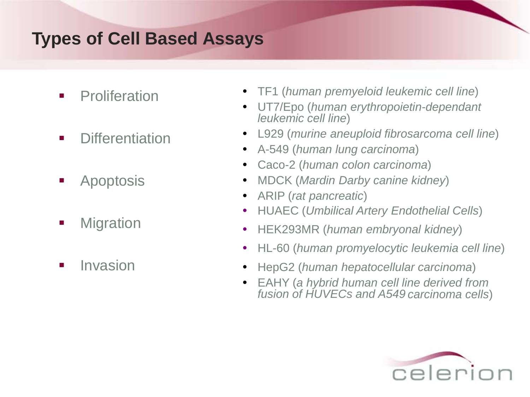## **Types of Cell Based Assays**

- **Proliferation**
- **•** Differentiation
- **Apoptosis**
- **•** Migration
- **I** Invasion
- TF1 (*human premyeloid leukemic cell line*)
- UT7/Epo (*human erythropoietin-dependant leukemic cell line*)
- L929 (*murine aneuploid fibrosarcoma cell line*)
- A-549 (*human lung carcinoma*)
- Caco-2 (*human colon carcinoma*)
- MDCK (*Mardin Darby canine kidney*)
- ARIP (*rat pancreatic*)
- HUAEC (*Umbilical Artery Endothelial Cells*)
- HEK293MR (*human embryonal kidney*)
- HL-60 (*human promyelocytic leukemia cell line*)
- HepG2 (*human hepatocellular carcinoma*)
- EAHY (*a hybrid human cell line derived from fusion of HUVECs and A549 carcinoma cells*)

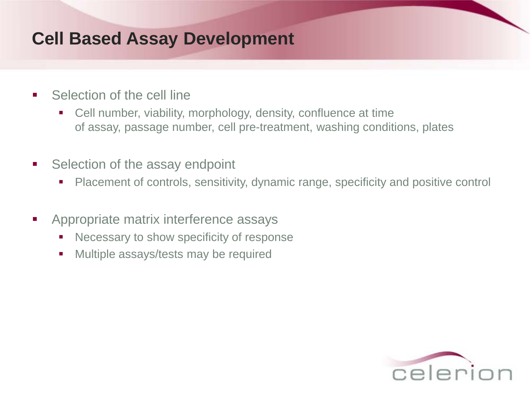#### **Cell Based Assay Development**

- Selection of the cell line
	- Cell number, viability, morphology, density, confluence at time of assay, passage number, cell pre-treatment, washing conditions, plates
- Selection of the assay endpoint
	- Placement of controls, sensitivity, dynamic range, specificity and positive control
- Appropriate matrix interference assays
	- E Necessary to show specificity of response
	- **Multiple assays/tests may be required**

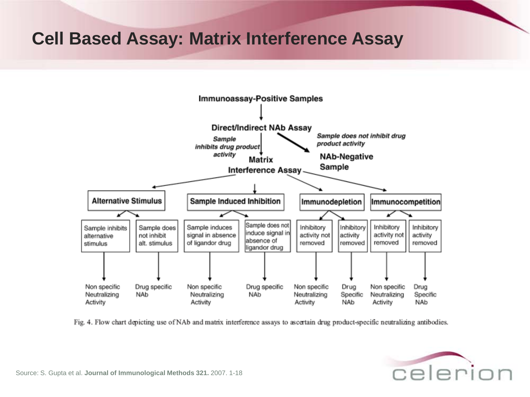#### **Cell Based Assay: Matrix Interference Assay**



Fig. 4. Flow chart depicting use of NAb and matrix interference assays to ascertain drug product-specific neutralizing antibodies.

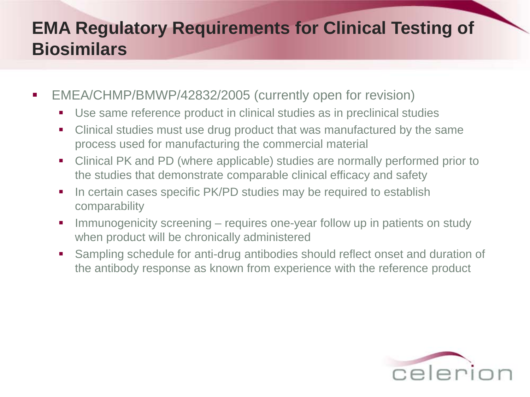## **EMA Regulatory Requirements for Clinical Testing of Biosimilars**

- EMEA/CHMP/BMWP/42832/2005 (currently open for revision)
	- Use same reference product in clinical studies as in preclinical studies
	- Clinical studies must use drug product that was manufactured by the same process used for manufacturing the commercial material
	- Clinical PK and PD (where applicable) studies are normally performed prior to the studies that demonstrate comparable clinical efficacy and safety
	- In certain cases specific PK/PD studies may be required to establish comparability
	- **IMMUNOGENICITY SCREENING requires one-year follow up in patients on study** when product will be chronically administered
	- Sampling schedule for anti-drug antibodies should reflect onset and duration of the antibody response as known from experience with the reference product

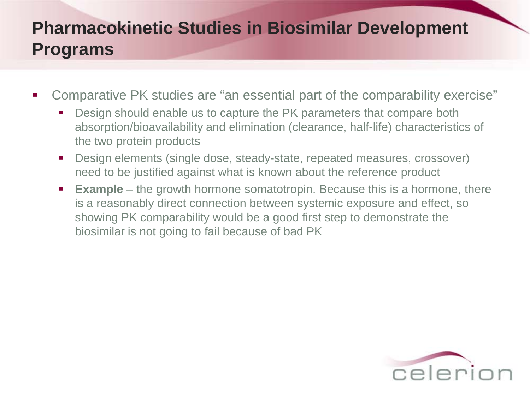## **Pharmacokinetic Studies in Biosimilar Development Programs**

- Comparative PK studies are "an essential part of the comparability exercise"
	- Design should enable us to capture the PK parameters that compare both absorption/bioavailability and elimination (clearance, half-life) characteristics of the two protein products
	- Design elements (single dose, steady-state, repeated measures, crossover) need to be justified against what is known about the reference product
	- **Example** the growth hormone somatotropin. Because this is a hormone, there is a reasonably direct connection between systemic exposure and effect, so showing PK comparability would be a good first step to demonstrate the biosimilar is not going to fail because of bad PK

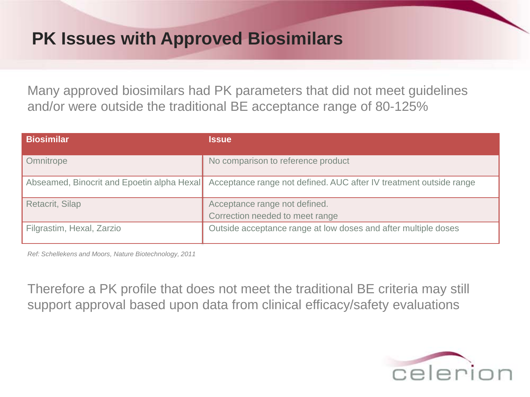#### **PK Issues with Approved Biosimilars**

Many approved biosimilars had PK parameters that did not meet guidelines and/or were outside the traditional BE acceptance range of 80-125%

| <b>Biosimilar</b>                          | <b>Issue</b>                                                       |
|--------------------------------------------|--------------------------------------------------------------------|
| Omnitrope                                  | No comparison to reference product                                 |
| Abseamed, Binocrit and Epoetin alpha Hexal | Acceptance range not defined. AUC after IV treatment outside range |
| Retacrit, Silap                            | Acceptance range not defined.                                      |
|                                            | Correction needed to meet range                                    |
| Filgrastim, Hexal, Zarzio                  | Outside acceptance range at low doses and after multiple doses     |

*Ref: Schellekens and Moors, Nature Biotechnology, 2011*

Therefore a PK profile that does not meet the traditional BE criteria may still support approval based upon data from clinical efficacy/safety evaluations

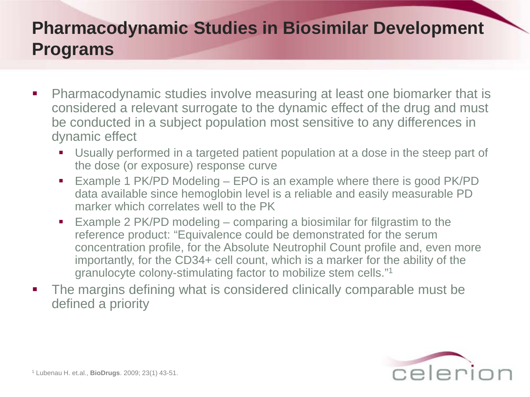## **Pharmacodynamic Studies in Biosimilar Development Programs**

- **Pharmacodynamic studies involve measuring at least one biomarker that is** considered a relevant surrogate to the dynamic effect of the drug and must be conducted in a subject population most sensitive to any differences in dynamic effect
	- Usually performed in a targeted patient population at a dose in the steep part of the dose (or exposure) response curve
	- Example 1 PK/PD Modeling EPO is an example where there is good PK/PD data available since hemoglobin level is a reliable and easily measurable PD marker which correlates well to the PK
	- Example 2 PK/PD modeling comparing a biosimilar for filgrastim to the reference product: "Equivalence could be demonstrated for the serum concentration profile, for the Absolute Neutrophil Count profile and, even more importantly, for the CD34+ cell count, which is a marker for the ability of the granulocyte colony-stimulating factor to mobilize stem cells."1
- The margins defining what is considered clinically comparable must be defined a priority